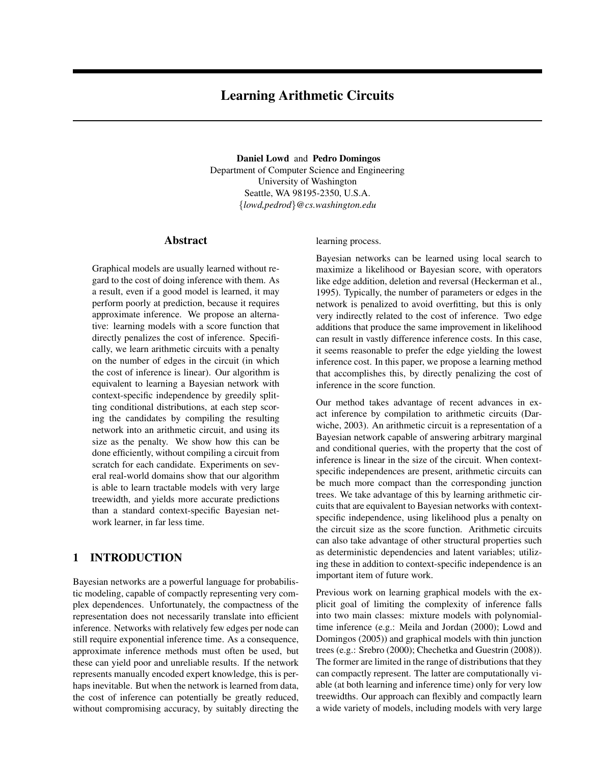# Learning Arithmetic Circuits

Daniel Lowd and Pedro Domingos Department of Computer Science and Engineering University of Washington Seattle, WA 98195-2350, U.S.A. {*lowd,pedrod*}*@cs.washington.edu*

### Abstract

Graphical models are usually learned without regard to the cost of doing inference with them. As a result, even if a good model is learned, it may perform poorly at prediction, because it requires approximate inference. We propose an alternative: learning models with a score function that directly penalizes the cost of inference. Specifically, we learn arithmetic circuits with a penalty on the number of edges in the circuit (in which the cost of inference is linear). Our algorithm is equivalent to learning a Bayesian network with context-specific independence by greedily splitting conditional distributions, at each step scoring the candidates by compiling the resulting network into an arithmetic circuit, and using its size as the penalty. We show how this can be done efficiently, without compiling a circuit from scratch for each candidate. Experiments on several real-world domains show that our algorithm is able to learn tractable models with very large treewidth, and yields more accurate predictions than a standard context-specific Bayesian network learner, in far less time.

# 1 INTRODUCTION

Bayesian networks are a powerful language for probabilistic modeling, capable of compactly representing very complex dependences. Unfortunately, the compactness of the representation does not necessarily translate into efficient inference. Networks with relatively few edges per node can still require exponential inference time. As a consequence, approximate inference methods must often be used, but these can yield poor and unreliable results. If the network represents manually encoded expert knowledge, this is perhaps inevitable. But when the network is learned from data, the cost of inference can potentially be greatly reduced, without compromising accuracy, by suitably directing the learning process.

Bayesian networks can be learned using local search to maximize a likelihood or Bayesian score, with operators like edge addition, deletion and reversal (Heckerman et al., 1995). Typically, the number of parameters or edges in the network is penalized to avoid overfitting, but this is only very indirectly related to the cost of inference. Two edge additions that produce the same improvement in likelihood can result in vastly difference inference costs. In this case, it seems reasonable to prefer the edge yielding the lowest inference cost. In this paper, we propose a learning method that accomplishes this, by directly penalizing the cost of inference in the score function.

Our method takes advantage of recent advances in exact inference by compilation to arithmetic circuits (Darwiche, 2003). An arithmetic circuit is a representation of a Bayesian network capable of answering arbitrary marginal and conditional queries, with the property that the cost of inference is linear in the size of the circuit. When contextspecific independences are present, arithmetic circuits can be much more compact than the corresponding junction trees. We take advantage of this by learning arithmetic circuits that are equivalent to Bayesian networks with contextspecific independence, using likelihood plus a penalty on the circuit size as the score function. Arithmetic circuits can also take advantage of other structural properties such as deterministic dependencies and latent variables; utilizing these in addition to context-specific independence is an important item of future work.

Previous work on learning graphical models with the explicit goal of limiting the complexity of inference falls into two main classes: mixture models with polynomialtime inference (e.g.: Meila and Jordan (2000); Lowd and Domingos (2005)) and graphical models with thin junction trees (e.g.: Srebro (2000); Chechetka and Guestrin (2008)). The former are limited in the range of distributions that they can compactly represent. The latter are computationally viable (at both learning and inference time) only for very low treewidths. Our approach can flexibly and compactly learn a wide variety of models, including models with very large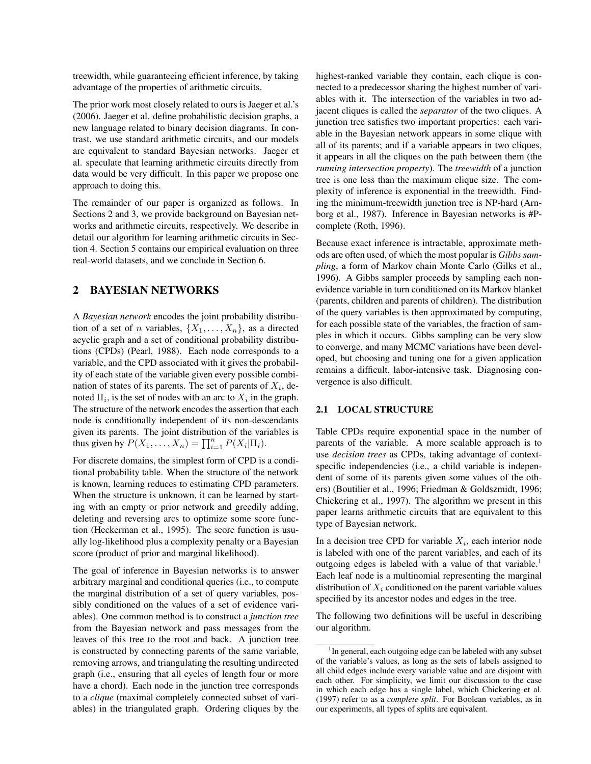treewidth, while guaranteeing efficient inference, by taking advantage of the properties of arithmetic circuits.

The prior work most closely related to ours is Jaeger et al.'s (2006). Jaeger et al. define probabilistic decision graphs, a new language related to binary decision diagrams. In contrast, we use standard arithmetic circuits, and our models are equivalent to standard Bayesian networks. Jaeger et al. speculate that learning arithmetic circuits directly from data would be very difficult. In this paper we propose one approach to doing this.

The remainder of our paper is organized as follows. In Sections 2 and 3, we provide background on Bayesian networks and arithmetic circuits, respectively. We describe in detail our algorithm for learning arithmetic circuits in Section 4. Section 5 contains our empirical evaluation on three real-world datasets, and we conclude in Section 6.

# 2 BAYESIAN NETWORKS

A *Bayesian network* encodes the joint probability distribution of a set of *n* variables,  $\{X_1, \ldots, X_n\}$ , as a directed acyclic graph and a set of conditional probability distributions (CPDs) (Pearl, 1988). Each node corresponds to a variable, and the CPD associated with it gives the probability of each state of the variable given every possible combination of states of its parents. The set of parents of  $X_i$ , denoted  $\Pi_i$ , is the set of nodes with an arc to  $X_i$  in the graph. The structure of the network encodes the assertion that each node is conditionally independent of its non-descendants given its parents. The joint distribution of the variables is thus given by  $P(X_1, \ldots, X_n) = \prod_{i=1}^n P(X_i | \Pi_i)$ .

For discrete domains, the simplest form of CPD is a conditional probability table. When the structure of the network is known, learning reduces to estimating CPD parameters. When the structure is unknown, it can be learned by starting with an empty or prior network and greedily adding, deleting and reversing arcs to optimize some score function (Heckerman et al., 1995). The score function is usually log-likelihood plus a complexity penalty or a Bayesian score (product of prior and marginal likelihood).

The goal of inference in Bayesian networks is to answer arbitrary marginal and conditional queries (i.e., to compute the marginal distribution of a set of query variables, possibly conditioned on the values of a set of evidence variables). One common method is to construct a *junction tree* from the Bayesian network and pass messages from the leaves of this tree to the root and back. A junction tree is constructed by connecting parents of the same variable, removing arrows, and triangulating the resulting undirected graph (i.e., ensuring that all cycles of length four or more have a chord). Each node in the junction tree corresponds to a *clique* (maximal completely connected subset of variables) in the triangulated graph. Ordering cliques by the highest-ranked variable they contain, each clique is connected to a predecessor sharing the highest number of variables with it. The intersection of the variables in two adjacent cliques is called the *separator* of the two cliques. A junction tree satisfies two important properties: each variable in the Bayesian network appears in some clique with all of its parents; and if a variable appears in two cliques, it appears in all the cliques on the path between them (the *running intersection property*). The *treewidth* of a junction tree is one less than the maximum clique size. The complexity of inference is exponential in the treewidth. Finding the minimum-treewidth junction tree is NP-hard (Arnborg et al., 1987). Inference in Bayesian networks is #Pcomplete (Roth, 1996).

Because exact inference is intractable, approximate methods are often used, of which the most popular is *Gibbs sampling*, a form of Markov chain Monte Carlo (Gilks et al., 1996). A Gibbs sampler proceeds by sampling each nonevidence variable in turn conditioned on its Markov blanket (parents, children and parents of children). The distribution of the query variables is then approximated by computing, for each possible state of the variables, the fraction of samples in which it occurs. Gibbs sampling can be very slow to converge, and many MCMC variations have been developed, but choosing and tuning one for a given application remains a difficult, labor-intensive task. Diagnosing convergence is also difficult.

#### 2.1 LOCAL STRUCTURE

Table CPDs require exponential space in the number of parents of the variable. A more scalable approach is to use *decision trees* as CPDs, taking advantage of contextspecific independencies (i.e., a child variable is independent of some of its parents given some values of the others) (Boutilier et al., 1996; Friedman & Goldszmidt, 1996; Chickering et al., 1997). The algorithm we present in this paper learns arithmetic circuits that are equivalent to this type of Bayesian network.

In a decision tree CPD for variable  $X_i$ , each interior node is labeled with one of the parent variables, and each of its outgoing edges is labeled with a value of that variable.<sup>1</sup> Each leaf node is a multinomial representing the marginal distribution of  $X_i$  conditioned on the parent variable values specified by its ancestor nodes and edges in the tree.

The following two definitions will be useful in describing our algorithm.

<sup>&</sup>lt;sup>1</sup>In general, each outgoing edge can be labeled with any subset of the variable's values, as long as the sets of labels assigned to all child edges include every variable value and are disjoint with each other. For simplicity, we limit our discussion to the case in which each edge has a single label, which Chickering et al. (1997) refer to as a *complete split*. For Boolean variables, as in our experiments, all types of splits are equivalent.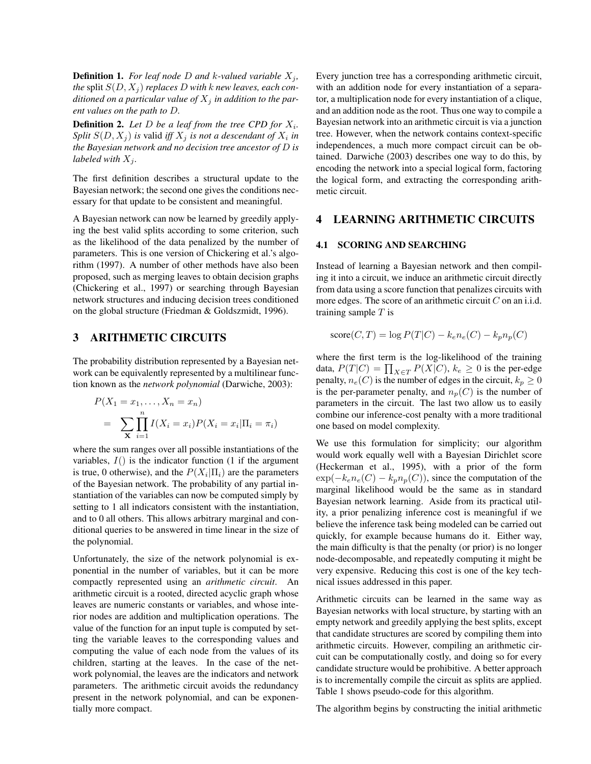**Definition 1.** For leaf node D and k-valued variable  $X_i$ , *the* split  $S(D, X_i)$  *replaces* D with *k new leaves, each conditioned on a particular value of*  $X_i$  *in addition to the parent values on the path to* D*.*

**Definition 2.** Let  $D$  be a leaf from the tree CPD for  $X_i$ . *Split*  $S(D, X_j)$  *is valid iff*  $X_j$  *is not a descendant of*  $X_i$  *in the Bayesian network and no decision tree ancestor of* D *is labeled with*  $X_j$ *.* 

The first definition describes a structural update to the Bayesian network; the second one gives the conditions necessary for that update to be consistent and meaningful.

A Bayesian network can now be learned by greedily applying the best valid splits according to some criterion, such as the likelihood of the data penalized by the number of parameters. This is one version of Chickering et al.'s algorithm (1997). A number of other methods have also been proposed, such as merging leaves to obtain decision graphs (Chickering et al., 1997) or searching through Bayesian network structures and inducing decision trees conditioned on the global structure (Friedman & Goldszmidt, 1996).

#### 3 ARITHMETIC CIRCUITS

The probability distribution represented by a Bayesian network can be equivalently represented by a multilinear function known as the *network polynomial* (Darwiche, 2003):

$$
P(X_1 = x_1, ..., X_n = x_n)
$$
  
= 
$$
\sum_{\mathbf{X}} \prod_{i=1}^n I(X_i = x_i) P(X_i = x_i | \Pi_i = \pi_i)
$$

where the sum ranges over all possible instantiations of the variables,  $I()$  is the indicator function (1 if the argument is true, 0 otherwise), and the  $P(X_i | \Pi_i)$  are the parameters of the Bayesian network. The probability of any partial instantiation of the variables can now be computed simply by setting to 1 all indicators consistent with the instantiation, and to 0 all others. This allows arbitrary marginal and conditional queries to be answered in time linear in the size of the polynomial.

Unfortunately, the size of the network polynomial is exponential in the number of variables, but it can be more compactly represented using an *arithmetic circuit*. An arithmetic circuit is a rooted, directed acyclic graph whose leaves are numeric constants or variables, and whose interior nodes are addition and multiplication operations. The value of the function for an input tuple is computed by setting the variable leaves to the corresponding values and computing the value of each node from the values of its children, starting at the leaves. In the case of the network polynomial, the leaves are the indicators and network parameters. The arithmetic circuit avoids the redundancy present in the network polynomial, and can be exponentially more compact.

Every junction tree has a corresponding arithmetic circuit, with an addition node for every instantiation of a separator, a multiplication node for every instantiation of a clique, and an addition node as the root. Thus one way to compile a Bayesian network into an arithmetic circuit is via a junction tree. However, when the network contains context-specific independences, a much more compact circuit can be obtained. Darwiche (2003) describes one way to do this, by encoding the network into a special logical form, factoring the logical form, and extracting the corresponding arithmetic circuit.

# 4 LEARNING ARITHMETIC CIRCUITS

#### 4.1 SCORING AND SEARCHING

Instead of learning a Bayesian network and then compiling it into a circuit, we induce an arithmetic circuit directly from data using a score function that penalizes circuits with more edges. The score of an arithmetic circuit  $C$  on an i.i.d. training sample  $T$  is

$$
score(C, T) = log P(T|C) - k_e n_e(C) - k_p n_p(C)
$$

where the first term is the log-likelihood of the training data,  $P(T|C) = \prod_{X \in T} P(X|C)$ ,  $k_e \ge 0$  is the per-edge penalty,  $n_e(C)$  is the number of edges in the circuit,  $k_p \geq 0$ is the per-parameter penalty, and  $n_p(C)$  is the number of parameters in the circuit. The last two allow us to easily combine our inference-cost penalty with a more traditional one based on model complexity.

We use this formulation for simplicity; our algorithm would work equally well with a Bayesian Dirichlet score (Heckerman et al., 1995), with a prior of the form  $\exp(-k_e n_e(C) - k_p n_p(C))$ , since the computation of the marginal likelihood would be the same as in standard Bayesian network learning. Aside from its practical utility, a prior penalizing inference cost is meaningful if we believe the inference task being modeled can be carried out quickly, for example because humans do it. Either way, the main difficulty is that the penalty (or prior) is no longer node-decomposable, and repeatedly computing it might be very expensive. Reducing this cost is one of the key technical issues addressed in this paper.

Arithmetic circuits can be learned in the same way as Bayesian networks with local structure, by starting with an empty network and greedily applying the best splits, except that candidate structures are scored by compiling them into arithmetic circuits. However, compiling an arithmetic circuit can be computationally costly, and doing so for every candidate structure would be prohibitive. A better approach is to incrementally compile the circuit as splits are applied. Table 1 shows pseudo-code for this algorithm.

The algorithm begins by constructing the initial arithmetic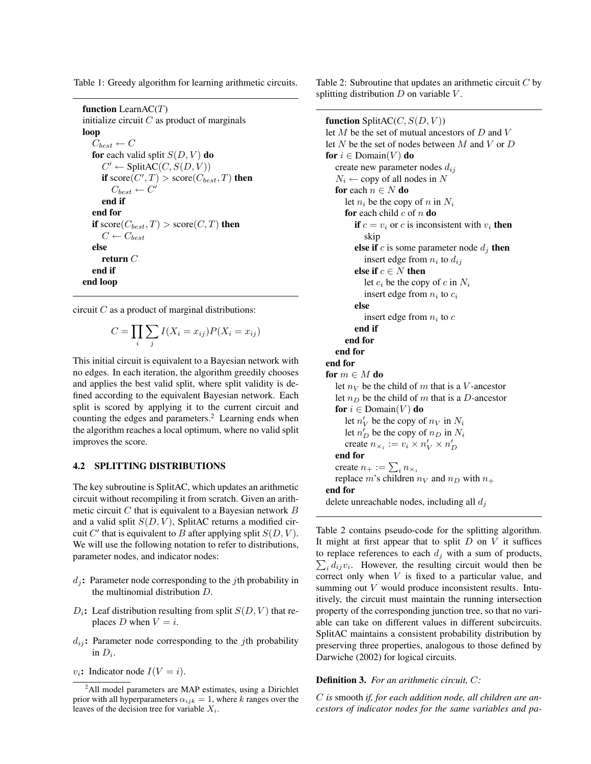Table 1: Greedy algorithm for learning arithmetic circuits.

```
function LearnAC(T)initialize circuit C as product of marginals
loop
   C_{best} \leftarrow Cfor each valid split S(D, V) do
      C' \leftarrow \text{SplitAC}(C, S(D, V))if score(C', T) > score(C_{best}, T) then
         C_{best} \leftarrow C'end if
  end for
  if score(C_{best}, T) > score(C, T) then
     C \leftarrow C_{best}else
     return \mathcal Cend if
end loop
```
circuit  $C$  as a product of marginal distributions:

$$
C = \prod_{i} \sum_{j} I(X_i = x_{ij}) P(X_i = x_{ij})
$$

This initial circuit is equivalent to a Bayesian network with no edges. In each iteration, the algorithm greedily chooses and applies the best valid split, where split validity is defined according to the equivalent Bayesian network. Each split is scored by applying it to the current circuit and counting the edges and parameters.<sup>2</sup> Learning ends when the algorithm reaches a local optimum, where no valid split improves the score.

#### 4.2 SPLITTING DISTRIBUTIONS

The key subroutine is SplitAC, which updates an arithmetic circuit without recompiling it from scratch. Given an arithmetic circuit  $C$  that is equivalent to a Bayesian network  $B$ and a valid split  $S(D, V)$ , SplitAC returns a modified circuit  $C'$  that is equivalent to  $B$  after applying split  $S(D, V)$ . We will use the following notation to refer to distributions, parameter nodes, and indicator nodes:

- $d_i$ : Parameter node corresponding to the *j*th probability in the multinomial distribution D.
- $D_i$ : Leaf distribution resulting from split  $S(D, V)$  that replaces D when  $V = i$ .
- $d_{ij}$ : Parameter node corresponding to the *j*th probability in  $D_i$ .
- $v_i$ : Indicator node  $I(V = i)$ .

Table 2: Subroutine that updates an arithmetic circuit  $C$  by splitting distribution  $D$  on variable  $V$ .

function SplitAC( $C, S(D, V)$ ) let  $M$  be the set of mutual ancestors of  $D$  and  $V$ let  $N$  be the set of nodes between  $M$  and  $V$  or  $D$ for  $i \in$  Domain(V) do create new parameter nodes  $d_{ij}$  $N_i \leftarrow$  copy of all nodes in N for each  $n \in N$  do let  $n_i$  be the copy of n in  $N_i$ for each child  $c$  of  $n$  do if  $c = v_i$  or c is inconsistent with  $v_i$  then skip else if c is some parameter node  $d_j$  then insert edge from  $n_i$  to  $d_{ij}$ else if  $c \in N$  then let  $c_i$  be the copy of c in  $N_i$ insert edge from  $n_i$  to  $c_i$ else insert edge from  $n_i$  to  $c$ end if end for end for end for for  $m \in M$  do let  $n_V$  be the child of m that is a V-ancestor let  $n_D$  be the child of m that is a D-ancestor for  $i \in \text{Domain}(V)$  do let  $n'_V$  be the copy of  $n_V$  in  $N_i$ let  $n'_D$  be the copy of  $n_D$  in  $N_i$ create  $n_{\times_i} := v_i \times n'_V \times n'_D$ end for create  $n_+ := \sum_i n_{\times_i}$ replace m's children  $n_V$  and  $n_D$  with  $n_+$ end for delete unreachable nodes, including all  $d_i$ 

Table 2 contains pseudo-code for the splitting algorithm. It might at first appear that to split  $D$  on  $V$  it suffices  $\sum_i d_{ij}v_i$ . However, the resulting circuit would then be to replace references to each  $d_i$  with a sum of products, correct only when  $V$  is fixed to a particular value, and summing out V would produce inconsistent results. Intuitively, the circuit must maintain the running intersection property of the corresponding junction tree, so that no variable can take on different values in different subcircuits. SplitAC maintains a consistent probability distribution by preserving three properties, analogous to those defined by Darwiche (2002) for logical circuits.

#### Definition 3. *For an arithmetic circuit,* C*:*

C *is* smooth *if, for each addition node, all children are ancestors of indicator nodes for the same variables and pa-*

<sup>&</sup>lt;sup>2</sup>All model parameters are MAP estimates, using a Dirichlet prior with all hyperparameters  $\alpha_{ijk} = 1$ , where k ranges over the leaves of the decision tree for variable  $X_i$ .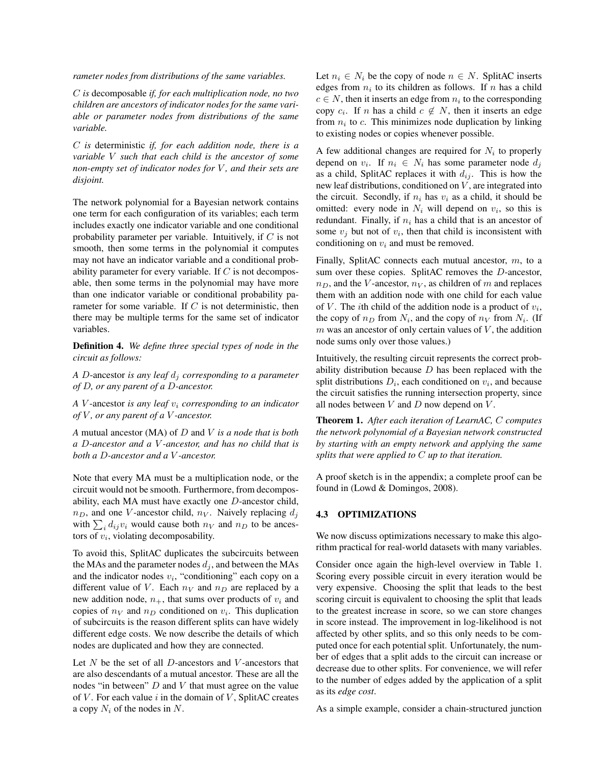*rameter nodes from distributions of the same variables.*

C *is* decomposable *if, for each multiplication node, no two children are ancestors of indicator nodes for the same variable or parameter nodes from distributions of the same variable.*

C *is* deterministic *if, for each addition node, there is a variable* V *such that each child is the ancestor of some non-empty set of indicator nodes for* V *, and their sets are disjoint.*

The network polynomial for a Bayesian network contains one term for each configuration of its variables; each term includes exactly one indicator variable and one conditional probability parameter per variable. Intuitively, if  $C$  is not smooth, then some terms in the polynomial it computes may not have an indicator variable and a conditional probability parameter for every variable. If  $C$  is not decomposable, then some terms in the polynomial may have more than one indicator variable or conditional probability parameter for some variable. If  $C$  is not deterministic, then there may be multiple terms for the same set of indicator variables.

Definition 4. *We define three special types of node in the circuit as follows:*

*A* D-ancestor *is any leaf*  $d_i$  *corresponding to a parameter of* D*, or any parent of a* D*-ancestor.*

*A* V -ancestor *is any leaf* v<sup>i</sup> *corresponding to an indicator of* V *, or any parent of a* V *-ancestor.*

*A* mutual ancestor (MA) of D and V *is a node that is both a* D*-ancestor and a* V *-ancestor, and has no child that is both a* D*-ancestor and a* V *-ancestor.*

Note that every MA must be a multiplication node, or the circuit would not be smooth. Furthermore, from decomposability, each MA must have exactly one D-ancestor child,  $n_D$ , and one V-ancestor child,  $n_V$ . Naively replacing  $d_j$ with  $\sum_i d_{ij}v_i$  would cause both  $n_V$  and  $n_D$  to be ancestors of  $v_i$ , violating decomposability.

To avoid this, SplitAC duplicates the subcircuits between the MAs and the parameter nodes  $d_i$ , and between the MAs and the indicator nodes  $v_i$ , "conditioning" each copy on a different value of V. Each  $n<sub>V</sub>$  and  $n<sub>D</sub>$  are replaced by a new addition node,  $n_{+}$ , that sums over products of  $v_i$  and copies of  $n_V$  and  $n_D$  conditioned on  $v_i$ . This duplication of subcircuits is the reason different splits can have widely different edge costs. We now describe the details of which nodes are duplicated and how they are connected.

Let  $N$  be the set of all  $D$ -ancestors and  $V$ -ancestors that are also descendants of a mutual ancestor. These are all the nodes "in between"  $D$  and  $V$  that must agree on the value of  $V$ . For each value  $i$  in the domain of  $V$ , SplitAC creates a copy  $N_i$  of the nodes in N.

Let  $n_i \in N_i$  be the copy of node  $n \in N$ . SplitAC inserts edges from  $n_i$  to its children as follows. If n has a child  $c \in N$ , then it inserts an edge from  $n_i$  to the corresponding copy  $c_i$ . If *n* has a child  $c \notin N$ , then it inserts an edge from  $n_i$  to c. This minimizes node duplication by linking to existing nodes or copies whenever possible.

A few additional changes are required for  $N_i$  to properly depend on  $v_i$ . If  $n_i \in N_i$  has some parameter node  $d_j$ as a child, SplitAC replaces it with  $d_{ij}$ . This is how the new leaf distributions, conditioned on  $V$ , are integrated into the circuit. Secondly, if  $n_i$  has  $v_i$  as a child, it should be omitted: every node in  $N_i$  will depend on  $v_i$ , so this is redundant. Finally, if  $n_i$  has a child that is an ancestor of some  $v_j$  but not of  $v_i$ , then that child is inconsistent with conditioning on  $v_i$  and must be removed.

Finally, SplitAC connects each mutual ancestor,  $m$ , to a sum over these copies. SplitAC removes the D-ancestor,  $n_D$ , and the V-ancestor,  $n_V$ , as children of m and replaces them with an addition node with one child for each value of V. The *i*th child of the addition node is a product of  $v_i$ , the copy of  $n_D$  from  $N_i$ , and the copy of  $n_V$  from  $N_i$ . (If  $m$  was an ancestor of only certain values of  $V$ , the addition node sums only over those values.)

Intuitively, the resulting circuit represents the correct probability distribution because  $D$  has been replaced with the split distributions  $D_i$ , each conditioned on  $v_i$ , and because the circuit satisfies the running intersection property, since all nodes between  $V$  and  $D$  now depend on  $V$ .

Theorem 1. *After each iteration of LearnAC,* C *computes the network polynomial of a Bayesian network constructed by starting with an empty network and applying the same splits that were applied to* C *up to that iteration.*

A proof sketch is in the appendix; a complete proof can be found in (Lowd & Domingos, 2008).

#### 4.3 OPTIMIZATIONS

We now discuss optimizations necessary to make this algorithm practical for real-world datasets with many variables.

Consider once again the high-level overview in Table 1. Scoring every possible circuit in every iteration would be very expensive. Choosing the split that leads to the best scoring circuit is equivalent to choosing the split that leads to the greatest increase in score, so we can store changes in score instead. The improvement in log-likelihood is not affected by other splits, and so this only needs to be computed once for each potential split. Unfortunately, the number of edges that a split adds to the circuit can increase or decrease due to other splits. For convenience, we will refer to the number of edges added by the application of a split as its *edge cost*.

As a simple example, consider a chain-structured junction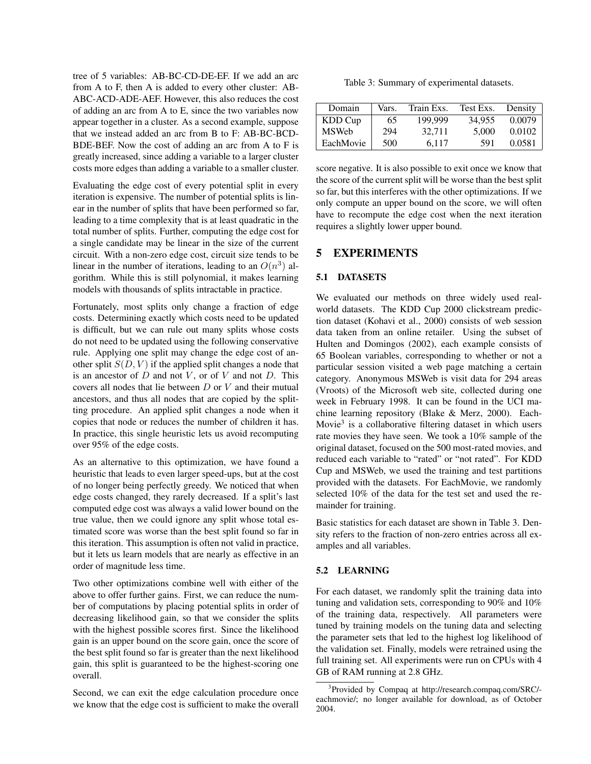tree of 5 variables: AB-BC-CD-DE-EF. If we add an arc from A to F, then A is added to every other cluster: AB-ABC-ACD-ADE-AEF. However, this also reduces the cost of adding an arc from A to E, since the two variables now appear together in a cluster. As a second example, suppose that we instead added an arc from B to F: AB-BC-BCD-BDE-BEF. Now the cost of adding an arc from A to F is greatly increased, since adding a variable to a larger cluster costs more edges than adding a variable to a smaller cluster.

Evaluating the edge cost of every potential split in every iteration is expensive. The number of potential splits is linear in the number of splits that have been performed so far, leading to a time complexity that is at least quadratic in the total number of splits. Further, computing the edge cost for a single candidate may be linear in the size of the current circuit. With a non-zero edge cost, circuit size tends to be linear in the number of iterations, leading to an  $O(n^3)$  algorithm. While this is still polynomial, it makes learning models with thousands of splits intractable in practice.

Fortunately, most splits only change a fraction of edge costs. Determining exactly which costs need to be updated is difficult, but we can rule out many splits whose costs do not need to be updated using the following conservative rule. Applying one split may change the edge cost of another split  $S(D, V)$  if the applied split changes a node that is an ancestor of  $D$  and not  $V$ , or of  $V$  and not  $D$ . This covers all nodes that lie between  $D$  or  $V$  and their mutual ancestors, and thus all nodes that are copied by the splitting procedure. An applied split changes a node when it copies that node or reduces the number of children it has. In practice, this single heuristic lets us avoid recomputing over 95% of the edge costs.

As an alternative to this optimization, we have found a heuristic that leads to even larger speed-ups, but at the cost of no longer being perfectly greedy. We noticed that when edge costs changed, they rarely decreased. If a split's last computed edge cost was always a valid lower bound on the true value, then we could ignore any split whose total estimated score was worse than the best split found so far in this iteration. This assumption is often not valid in practice, but it lets us learn models that are nearly as effective in an order of magnitude less time.

Two other optimizations combine well with either of the above to offer further gains. First, we can reduce the number of computations by placing potential splits in order of decreasing likelihood gain, so that we consider the splits with the highest possible scores first. Since the likelihood gain is an upper bound on the score gain, once the score of the best split found so far is greater than the next likelihood gain, this split is guaranteed to be the highest-scoring one overall.

Second, we can exit the edge calculation procedure once we know that the edge cost is sufficient to make the overall

Table 3: Summary of experimental datasets.

| Domain       | Vars. | Train Exs. | Test Exs. | Density |
|--------------|-------|------------|-----------|---------|
| KDD Cup      | 65    | 199.999    | 34,955    | 0.0079  |
| <b>MSWeb</b> | 294   | 32.711     | 5.000     | 0.0102  |
| EachMovie    | 500   | 6.117      | 591       | 0.0581  |

score negative. It is also possible to exit once we know that the score of the current split will be worse than the best split so far, but this interferes with the other optimizations. If we only compute an upper bound on the score, we will often have to recompute the edge cost when the next iteration requires a slightly lower upper bound.

### 5 EXPERIMENTS

### 5.1 DATASETS

We evaluated our methods on three widely used realworld datasets. The KDD Cup 2000 clickstream prediction dataset (Kohavi et al., 2000) consists of web session data taken from an online retailer. Using the subset of Hulten and Domingos (2002), each example consists of 65 Boolean variables, corresponding to whether or not a particular session visited a web page matching a certain category. Anonymous MSWeb is visit data for 294 areas (Vroots) of the Microsoft web site, collected during one week in February 1998. It can be found in the UCI machine learning repository (Blake & Merz, 2000). Each-Movie<sup>3</sup> is a collaborative filtering dataset in which users rate movies they have seen. We took a 10% sample of the original dataset, focused on the 500 most-rated movies, and reduced each variable to "rated" or "not rated". For KDD Cup and MSWeb, we used the training and test partitions provided with the datasets. For EachMovie, we randomly selected 10% of the data for the test set and used the remainder for training.

Basic statistics for each dataset are shown in Table 3. Density refers to the fraction of non-zero entries across all examples and all variables.

#### 5.2 LEARNING

For each dataset, we randomly split the training data into tuning and validation sets, corresponding to 90% and 10% of the training data, respectively. All parameters were tuned by training models on the tuning data and selecting the parameter sets that led to the highest log likelihood of the validation set. Finally, models were retrained using the full training set. All experiments were run on CPUs with 4 GB of RAM running at 2.8 GHz.

<sup>&</sup>lt;sup>3</sup>Provided by Compaq at http://research.compaq.com/SRC/eachmovie/; no longer available for download, as of October 2004.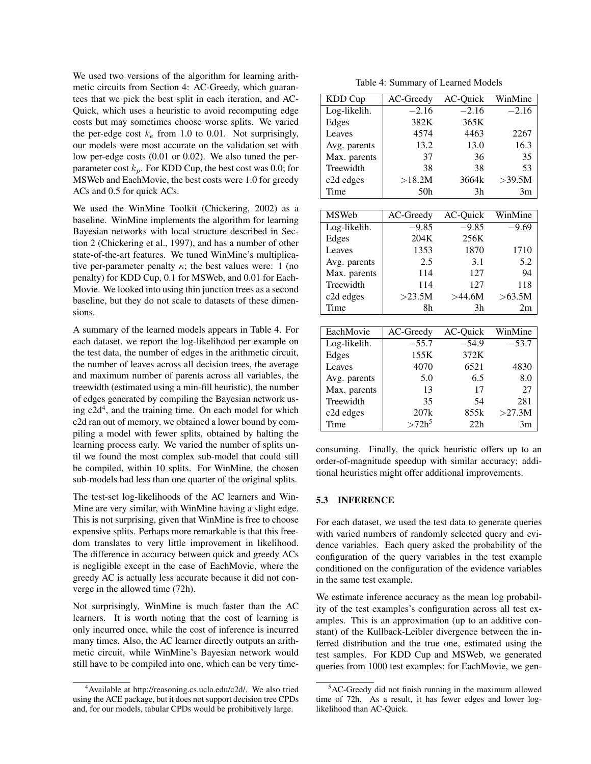We used two versions of the algorithm for learning arithmetic circuits from Section 4: AC-Greedy, which guarantees that we pick the best split in each iteration, and AC-Quick, which uses a heuristic to avoid recomputing edge costs but may sometimes choose worse splits. We varied the per-edge cost  $k_e$  from 1.0 to 0.01. Not surprisingly, our models were most accurate on the validation set with low per-edge costs (0.01 or 0.02). We also tuned the perparameter cost  $k_p$ . For KDD Cup, the best cost was 0.0; for MSWeb and EachMovie, the best costs were 1.0 for greedy ACs and 0.5 for quick ACs.

We used the WinMine Toolkit (Chickering, 2002) as a baseline. WinMine implements the algorithm for learning Bayesian networks with local structure described in Section 2 (Chickering et al., 1997), and has a number of other state-of-the-art features. We tuned WinMine's multiplicative per-parameter penalty  $\kappa$ ; the best values were: 1 (no penalty) for KDD Cup, 0.1 for MSWeb, and 0.01 for Each-Movie. We looked into using thin junction trees as a second baseline, but they do not scale to datasets of these dimensions.

A summary of the learned models appears in Table 4. For each dataset, we report the log-likelihood per example on the test data, the number of edges in the arithmetic circuit, the number of leaves across all decision trees, the average and maximum number of parents across all variables, the treewidth (estimated using a min-fill heuristic), the number of edges generated by compiling the Bayesian network using  $c2d<sup>4</sup>$ , and the training time. On each model for which c2d ran out of memory, we obtained a lower bound by compiling a model with fewer splits, obtained by halting the learning process early. We varied the number of splits until we found the most complex sub-model that could still be compiled, within 10 splits. For WinMine, the chosen sub-models had less than one quarter of the original splits.

The test-set log-likelihoods of the AC learners and Win-Mine are very similar, with WinMine having a slight edge. This is not surprising, given that WinMine is free to choose expensive splits. Perhaps more remarkable is that this freedom translates to very little improvement in likelihood. The difference in accuracy between quick and greedy ACs is negligible except in the case of EachMovie, where the greedy AC is actually less accurate because it did not converge in the allowed time (72h).

Not surprisingly, WinMine is much faster than the AC learners. It is worth noting that the cost of learning is only incurred once, while the cost of inference is incurred many times. Also, the AC learner directly outputs an arithmetic circuit, while WinMine's Bayesian network would still have to be compiled into one, which can be very time-

Table 4: Summary of Learned Models

| KDD Cup      | AC-Greedy       | AC-Quick | WinMine |
|--------------|-----------------|----------|---------|
| Log-likelih. | $-2.16$         | $-2.16$  | $-2.16$ |
| Edges        | 382K            | 365K     |         |
| Leaves       | 4574            | 4463     | 2267    |
| Avg. parents | 13.2            | 13.0     | 16.3    |
| Max. parents | 37              | 36       | 35      |
| Treewidth    | 38              | 38       | 53      |
| c2d edges    | >18.2M          | 3664k    | >39.5M  |
| Time         | 50 <sub>h</sub> | 3h       | 3m      |
|              |                 |          |         |
| <b>MSWeb</b> | AC-Greedy       | AC-Quick | WinMine |
| Log-likelih. | $-9.85$         | $-9.85$  | $-9.69$ |
| Edges        | 204K            | 256K     |         |
| Leaves       | 1353            | 1870     | 1710    |
| Avg. parents | 2.5             | 3.1      | 5.2     |
| Max. parents | 114             | 127      | 94      |
| Treewidth    | 114             | 127      | 118     |
| c2d edges    | >23.5M          | >44.6M   | >63.5M  |
| Time         | 8h              | 3h       | 2m      |
|              |                 |          |         |
| EachMovie    | AC-Greedy       | AC-Quick | WinMine |
| Log-likelih. | $-55.7$         | $-54.9$  | $-53.7$ |
| Edges        | 155K            | 372K     |         |
| Leaves       | 4070            | 6521     | 4830    |
| Avg. parents | 5.0             | 6.5      | 8.0     |
| Max. parents | 13              | 17       | 27      |
| Treewidth    | 35              | 54       | 281     |
| c2d edges    | 207k            | 855k     | >27.3M  |
| Time         | $>72h^5$        | 22h      | 3m      |

consuming. Finally, the quick heuristic offers up to an order-of-magnitude speedup with similar accuracy; additional heuristics might offer additional improvements.

#### 5.3 INFERENCE

For each dataset, we used the test data to generate queries with varied numbers of randomly selected query and evidence variables. Each query asked the probability of the configuration of the query variables in the test example conditioned on the configuration of the evidence variables in the same test example.

We estimate inference accuracy as the mean log probability of the test examples's configuration across all test examples. This is an approximation (up to an additive constant) of the Kullback-Leibler divergence between the inferred distribution and the true one, estimated using the test samples. For KDD Cup and MSWeb, we generated queries from 1000 test examples; for EachMovie, we gen-

<sup>4</sup>Available at http://reasoning.cs.ucla.edu/c2d/. We also tried using the ACE package, but it does not support decision tree CPDs and, for our models, tabular CPDs would be prohibitively large.

 ${}^{5}$ AC-Greedy did not finish running in the maximum allowed time of 72h. As a result, it has fewer edges and lower loglikelihood than AC-Quick.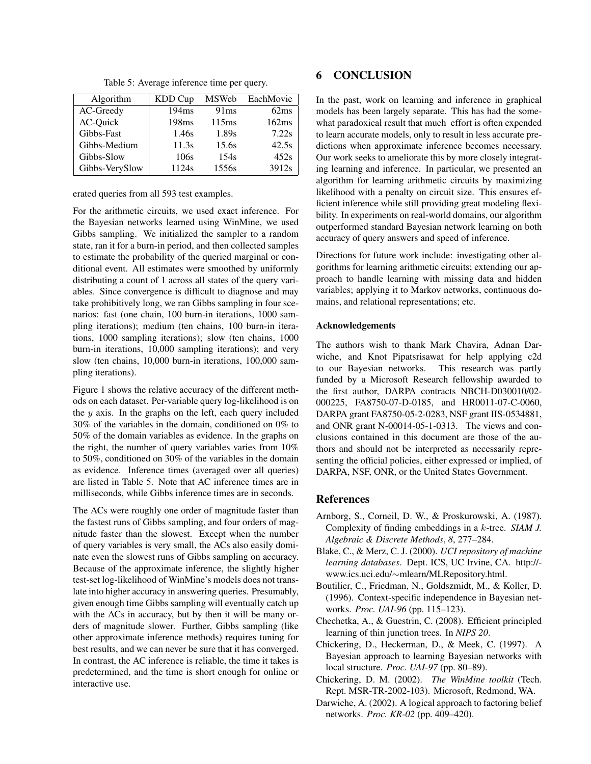| Algorithm      | KDD Cup           | <b>MSWeb</b> | EachMovie |
|----------------|-------------------|--------------|-----------|
| AC-Greedy      | 194ms             | 91ms         | 62ms      |
| AC-Quick       | 198 <sub>ms</sub> | 115ms        | 162ms     |
| Gibbs-Fast     | 1.46s             | 1.89s        | 7.22s     |
| Gibbs-Medium   | 11.3s             | 15.6s        | 42.5s     |
| Gibbs-Slow     | 106s              | 154s         | 452s      |
| Gibbs-VerySlow | 1124s             | 1556s        | 3912s     |

Table 5: Average inference time per query.

erated queries from all 593 test examples.

For the arithmetic circuits, we used exact inference. For the Bayesian networks learned using WinMine, we used Gibbs sampling. We initialized the sampler to a random state, ran it for a burn-in period, and then collected samples to estimate the probability of the queried marginal or conditional event. All estimates were smoothed by uniformly distributing a count of 1 across all states of the query variables. Since convergence is difficult to diagnose and may take prohibitively long, we ran Gibbs sampling in four scenarios: fast (one chain, 100 burn-in iterations, 1000 sampling iterations); medium (ten chains, 100 burn-in iterations, 1000 sampling iterations); slow (ten chains, 1000 burn-in iterations, 10,000 sampling iterations); and very slow (ten chains, 10,000 burn-in iterations, 100,000 sampling iterations).

Figure 1 shows the relative accuracy of the different methods on each dataset. Per-variable query log-likelihood is on the  $y$  axis. In the graphs on the left, each query included 30% of the variables in the domain, conditioned on 0% to 50% of the domain variables as evidence. In the graphs on the right, the number of query variables varies from 10% to 50%, conditioned on 30% of the variables in the domain as evidence. Inference times (averaged over all queries) are listed in Table 5. Note that AC inference times are in milliseconds, while Gibbs inference times are in seconds.

The ACs were roughly one order of magnitude faster than the fastest runs of Gibbs sampling, and four orders of magnitude faster than the slowest. Except when the number of query variables is very small, the ACs also easily dominate even the slowest runs of Gibbs sampling on accuracy. Because of the approximate inference, the slightly higher test-set log-likelihood of WinMine's models does not translate into higher accuracy in answering queries. Presumably, given enough time Gibbs sampling will eventually catch up with the ACs in accuracy, but by then it will be many orders of magnitude slower. Further, Gibbs sampling (like other approximate inference methods) requires tuning for best results, and we can never be sure that it has converged. In contrast, the AC inference is reliable, the time it takes is predetermined, and the time is short enough for online or interactive use.

# 6 CONCLUSION

In the past, work on learning and inference in graphical models has been largely separate. This has had the somewhat paradoxical result that much effort is often expended to learn accurate models, only to result in less accurate predictions when approximate inference becomes necessary. Our work seeks to ameliorate this by more closely integrating learning and inference. In particular, we presented an algorithm for learning arithmetic circuits by maximizing likelihood with a penalty on circuit size. This ensures efficient inference while still providing great modeling flexibility. In experiments on real-world domains, our algorithm outperformed standard Bayesian network learning on both accuracy of query answers and speed of inference.

Directions for future work include: investigating other algorithms for learning arithmetic circuits; extending our approach to handle learning with missing data and hidden variables; applying it to Markov networks, continuous domains, and relational representations; etc.

#### Acknowledgements

The authors wish to thank Mark Chavira, Adnan Darwiche, and Knot Pipatsrisawat for help applying c2d to our Bayesian networks. This research was partly funded by a Microsoft Research fellowship awarded to the first author, DARPA contracts NBCH-D030010/02- 000225, FA8750-07-D-0185, and HR0011-07-C-0060, DARPA grant FA8750-05-2-0283, NSF grant IIS-0534881, and ONR grant N-00014-05-1-0313. The views and conclusions contained in this document are those of the authors and should not be interpreted as necessarily representing the official policies, either expressed or implied, of DARPA, NSF, ONR, or the United States Government.

### References

- Arnborg, S., Corneil, D. W., & Proskurowski, A. (1987). Complexity of finding embeddings in a k-tree. *SIAM J. Algebraic & Discrete Methods*, *8*, 277–284.
- Blake, C., & Merz, C. J. (2000). *UCI repository of machine learning databases*. Dept. ICS, UC Irvine, CA. http:// www.ics.uci.edu/∼mlearn/MLRepository.html.
- Boutilier, C., Friedman, N., Goldszmidt, M., & Koller, D. (1996). Context-specific independence in Bayesian networks. *Proc. UAI-96* (pp. 115–123).
- Chechetka, A., & Guestrin, C. (2008). Efficient principled learning of thin junction trees. In *NIPS 20*.
- Chickering, D., Heckerman, D., & Meek, C. (1997). A Bayesian approach to learning Bayesian networks with local structure. *Proc. UAI-97* (pp. 80–89).
- Chickering, D. M. (2002). *The WinMine toolkit* (Tech. Rept. MSR-TR-2002-103). Microsoft, Redmond, WA.
- Darwiche, A. (2002). A logical approach to factoring belief networks. *Proc. KR-02* (pp. 409–420).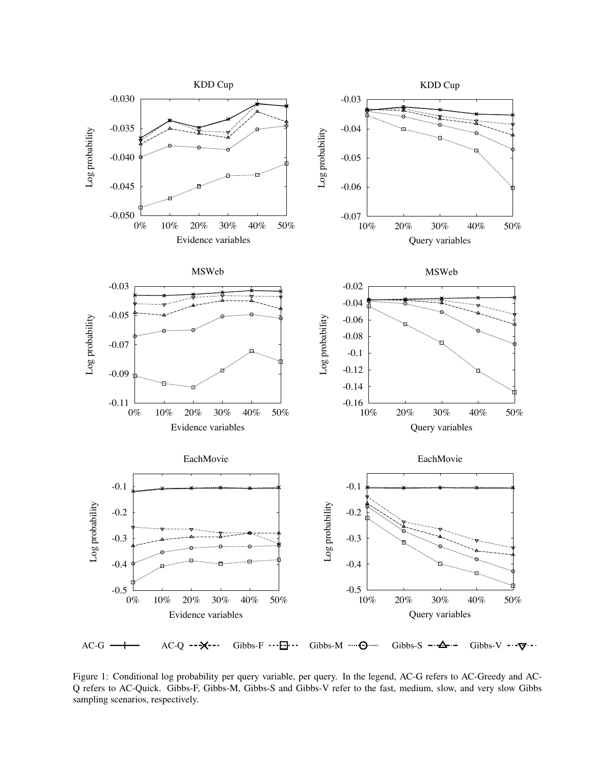

-0.03 Q refers to AC-Quick. Gibbs-F, Gibbs-M, Gibbs-S and Gibbs-V refer to the fast, medium, slow, and very slow Gibbs Figure 1: Conditional log probability per query variable, per query. In the legend, AC-G refers to AC-Greedy and ACsampling scenarios, respectively.